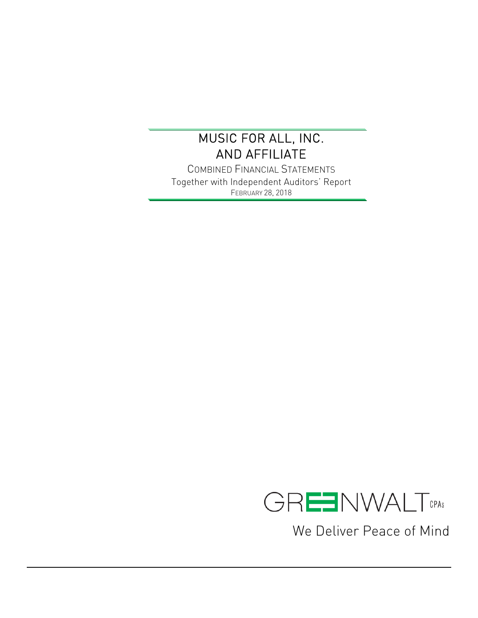COMBINED FINANCIAL STATEMENTS Together with Independent Auditors' Report FEBRUARY 28, 2018



We Deliver Peace of Mind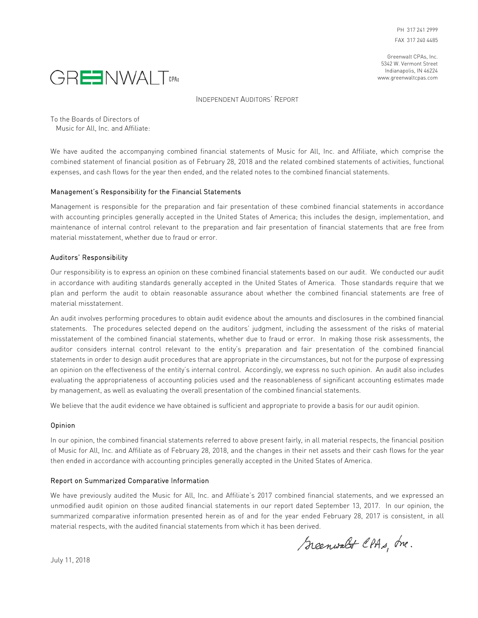Greenwalt CPAs, Inc. 5342 W. Vermont Street Indianapolis, IN 46224 www.greenwaltcpas.com



INDEPENDENT AUDITORS' REPORT

To the Boards of Directors of

Music for All, Inc. and Affiliate:

We have audited the accompanying combined financial statements of Music for All, Inc. and Affiliate, which comprise the combined statement of financial position as of February 28, 2018 and the related combined statements of activities, functional expenses, and cash flows for the year then ended, and the related notes to the combined financial statements.

### Management's Responsibility for the Financial Statements

Management is responsible for the preparation and fair presentation of these combined financial statements in accordance with accounting principles generally accepted in the United States of America; this includes the design, implementation, and maintenance of internal control relevant to the preparation and fair presentation of financial statements that are free from material misstatement, whether due to fraud or error.

### Auditors' Responsibility

Our responsibility is to express an opinion on these combined financial statements based on our audit. We conducted our audit in accordance with auditing standards generally accepted in the United States of America. Those standards require that we plan and perform the audit to obtain reasonable assurance about whether the combined financial statements are free of material misstatement.

An audit involves performing procedures to obtain audit evidence about the amounts and disclosures in the combined financial statements. The procedures selected depend on the auditors' judgment, including the assessment of the risks of material misstatement of the combined financial statements, whether due to fraud or error. In making those risk assessments, the auditor considers internal control relevant to the entity's preparation and fair presentation of the combined financial statements in order to design audit procedures that are appropriate in the circumstances, but not for the purpose of expressing an opinion on the effectiveness of the entity's internal control. Accordingly, we express no such opinion. An audit also includes evaluating the appropriateness of accounting policies used and the reasonableness of significant accounting estimates made by management, as well as evaluating the overall presentation of the combined financial statements.

We believe that the audit evidence we have obtained is sufficient and appropriate to provide a basis for our audit opinion.

### Opinion

In our opinion, the combined financial statements referred to above present fairly, in all material respects, the financial position of Music for All, Inc. and Affiliate as of February 28, 2018, and the changes in their net assets and their cash flows for the year then ended in accordance with accounting principles generally accepted in the United States of America.

### Report on Summarized Comparative Information

We have previously audited the Music for All, Inc. and Affiliate's 2017 combined financial statements, and we expressed an unmodified audit opinion on those audited financial statements in our report dated September 13, 2017. In our opinion, the summarized comparative information presented herein as of and for the year ended February 28, 2017 is consistent, in all material respects, with the audited financial statements from which it has been derived.

Scenwalt CPAs, Ine.

July 11, 2018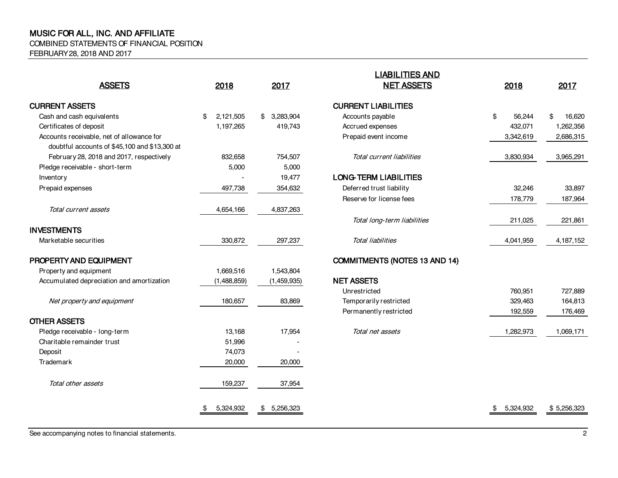COMBINED STATEMENTS OF FINANCIAL POSITION

FEBRUARY 28, 2018 AND 2017

|                                               |                 |                 | <u>LIADILI IILƏ ANU</u>              |                 |              |
|-----------------------------------------------|-----------------|-----------------|--------------------------------------|-----------------|--------------|
| <b>ASSETS</b>                                 | 2018            | 2017            | <b>NET ASSETS</b>                    | 2018            | 2017         |
| <b>CURRENT ASSETS</b>                         |                 |                 | <b>CURRENT LIABILITIES</b>           |                 |              |
| Cash and cash equivalents                     | 2,121,505<br>\$ | 3,283,904<br>\$ | Accounts payable                     | \$<br>56,244    | \$<br>16,620 |
| Certificates of deposit                       | 1,197,265       | 419,743         | Accrued expenses                     | 432,071         | 1,262,356    |
| Accounts receivable, net of allowance for     |                 |                 | Prepaid event income                 | 3,342,619       | 2,686,315    |
| doubtful accounts of \$45,100 and \$13,300 at |                 |                 |                                      |                 |              |
| February 28, 2018 and 2017, respectively      | 832,658         | 754,507         | Total current liabilities            | 3,830,934       | 3,965,291    |
| Pledge receivable - short-term                | 5,000           | 5,000           |                                      |                 |              |
| Inventory                                     |                 | 19,477          | <b>LONG-TERM LIABILITIES</b>         |                 |              |
| Prepaid expenses                              | 497,738         | 354,632         | Deferred trust liability             | 32,246          | 33,897       |
|                                               |                 |                 | Reserve for license fees             | 178,779         | 187,964      |
| Total current assets                          | 4,654,166       | 4,837,263       |                                      |                 |              |
|                                               |                 |                 | Total long-term liabilities          | 211,025         | 221,861      |
| <b>INVESTMENTS</b>                            |                 |                 |                                      |                 |              |
| Marketable securities                         | 330,872         | 297,237         | <b>Total liabilities</b>             | 4,041,959       | 4,187,152    |
| PROPERTY AND EQUIPMENT                        |                 |                 | <b>COMMITMENTS (NOTES 13 AND 14)</b> |                 |              |
| Property and equipment                        | 1,669,516       | 1,543,804       |                                      |                 |              |
| Accumulated depreciation and amortization     | (1,488,859)     | (1,459,935)     | <b>NET ASSETS</b>                    |                 |              |
|                                               |                 |                 | Unrestricted                         | 760,951         | 727,889      |
| Net property and equipment                    | 180,657         | 83,869          | Temporarily restricted               | 329,463         | 164,813      |
|                                               |                 |                 | Permanently restricted               | 192,559         | 176,469      |
| <b>OTHER ASSETS</b>                           |                 |                 |                                      |                 |              |
| Pledge receivable - long-term                 | 13,168          | 17,954          | Total net assets                     | 1,282,973       | 1,069,171    |
| Charitable remainder trust                    | 51,996          |                 |                                      |                 |              |
| Deposit                                       | 74,073          |                 |                                      |                 |              |
| Trademark                                     | 20,000          | 20,000          |                                      |                 |              |
| Total other assets                            | 159,237         | 37,954          |                                      |                 |              |
|                                               | 5,324,932<br>\$ | 5,256,323<br>\$ |                                      | 5,324,932<br>\$ | \$5,256,323  |
|                                               |                 |                 |                                      |                 |              |

| 2018        | 2017            | <b>LIABILITIES AND</b><br><b>NET ASSETS</b> | 2018            | 2017         |
|-------------|-----------------|---------------------------------------------|-----------------|--------------|
|             |                 | <b>CURRENT LIABILITIES</b>                  |                 |              |
| 2,121,505   | 3,283,904<br>\$ | Accounts payable                            | \$<br>56,244    | 16,620<br>\$ |
| 1,197,265   | 419,743         | Accrued expenses                            | 432,071         | 1,262,356    |
|             |                 | Prepaid event income                        | 3,342,619       | 2,686,315    |
| 832,658     | 754,507         | Total current liabilities                   | 3,830,934       | 3,965,291    |
| 5,000       | 5,000           |                                             |                 |              |
|             | 19,477          | <b>LONG-TERM LIABILITIES</b>                |                 |              |
| 497,738     | 354,632         | Deferred trust liability                    | 32,246          | 33,897       |
|             |                 | Reserve for license fees                    | 178,779         | 187,964      |
| 4,654,166   | 4,837,263       |                                             |                 |              |
|             |                 | Total long-term liabilities                 | 211,025         | 221,861      |
| 330,872     | 297,237         | Total liabilities                           | 4,041,959       | 4,187,152    |
|             |                 | <b>COMMITMENTS (NOTES 13 AND 14)</b>        |                 |              |
| 1,669,516   | 1,543,804       |                                             |                 |              |
| (1,488,859) | (1,459,935)     | <b>NET ASSETS</b>                           |                 |              |
|             |                 | Unrestricted                                | 760,951         | 727,889      |
| 180,657     | 83,869          | Temporarily restricted                      | 329,463         | 164,813      |
|             |                 | Permanently restricted                      | 192,559         | 176,469      |
| 13,168      | 17,954          | Total net assets                            | 1,282,973       | 1,069,171    |
| 51,996      |                 |                                             |                 |              |
| 74,073      |                 |                                             |                 |              |
| 20,000      | 20,000          |                                             |                 |              |
| 159,237     | 37,954          |                                             |                 |              |
| 5,324,932   | 5,256,323<br>\$ |                                             | 5,324,932<br>\$ | \$5,256,323  |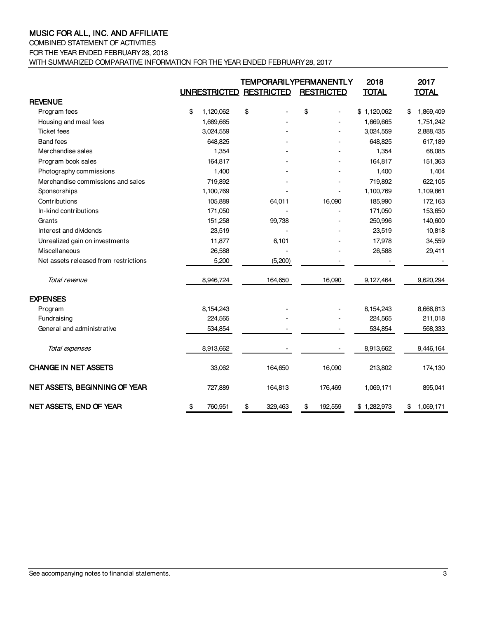COMBINED STATEMENT OF ACTIVITIES

FOR THE YEAR ENDED FEBRUARY 28, 2018

WITH SUMMARIZED COMPARATIVE INFORMATION FOR THE YEAR ENDED FEBRUARY 28, 2017

|                                       | UNRESTRICTED RESTRICTED | <b>TEMPORARILYPERMANENTLY</b> | <b>RESTRICTED</b>        | 2018<br><b>TOTAL</b> | 2017<br><b>TOTAL</b> |
|---------------------------------------|-------------------------|-------------------------------|--------------------------|----------------------|----------------------|
| <b>REVENUE</b>                        |                         |                               |                          |                      |                      |
| Program fees                          | \$<br>1,120,062         | \$                            | \$                       | \$1,120,062          | \$<br>1,869,409      |
| Housing and meal fees                 | 1,669,665               |                               |                          | 1,669,665            | 1,751,242            |
| <b>Ticket fees</b>                    | 3,024,559               |                               |                          | 3,024,559            | 2,888,435            |
| <b>Band fees</b>                      | 648,825                 |                               |                          | 648,825              | 617,189              |
| Merchandise sales                     | 1,354                   |                               |                          | 1,354                | 68,085               |
| Program book sales                    | 164,817                 |                               |                          | 164,817              | 151,363              |
| Photography commissions               | 1,400                   |                               |                          | 1,400                | 1,404                |
| Merchandise commissions and sales     | 719,892                 |                               |                          | 719,892              | 622,105              |
| Sponsorships                          | 1,100,769               |                               |                          | 1,100,769            | 1,109,861            |
| Contributions                         | 105,889                 | 64,011                        | 16,090                   | 185,990              | 172,163              |
| In-kind contributions                 | 171,050                 |                               | $\overline{\phantom{a}}$ | 171,050              | 153,650              |
| Grants                                | 151,258                 | 99,738                        |                          | 250,996              | 140,600              |
| Interest and dividends                | 23,519                  |                               |                          | 23,519               | 10,818               |
| Unrealized gain on investments        | 11,877                  | 6,101                         |                          | 17,978               | 34,559               |
| Miscellaneous                         | 26,588                  |                               |                          | 26,588               | 29,411               |
| Net assets released from restrictions | 5,200                   | (5,200)                       |                          |                      |                      |
| Total revenue                         | 8,946,724               | 164,650                       | 16,090                   | 9,127,464            | 9,620,294            |
| <b>EXPENSES</b>                       |                         |                               |                          |                      |                      |
| Program                               | 8,154,243               |                               |                          | 8,154,243            | 8,666,813            |
| Fundraising                           | 224,565                 |                               |                          | 224,565              | 211,018              |
| General and administrative            | 534,854                 |                               |                          | 534,854              | 568,333              |
| Total expenses                        | 8,913,662               |                               |                          | 8,913,662            | 9,446,164            |
| <b>CHANGE IN NET ASSETS</b>           | 33,062                  | 164,650                       | 16,090                   | 213,802              | 174,130              |
| NET ASSETS, BEGINNING OF YEAR         | 727,889                 | 164,813                       | 176,469                  | 1,069,171            | 895,041              |
| NET ASSETS, END OF YEAR               | \$<br>760,951           | \$<br>329,463                 | \$<br>192,559            | \$1,282,973          | \$<br>1,069,171      |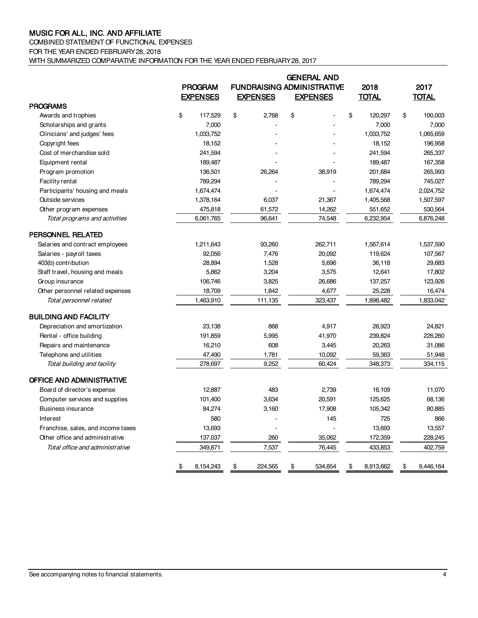# COMBINED STATEMENT OF FUNCTIONAL EXPENSES

FOR THE YEAR ENDED FEBRUARY 28, 2018

WITH SUMMARIZED COMPARATIVE INFORMATION FOR THE YEAR ENDED FEBRUARY 28, 2017

|                                    |                 |                                   |    | <b>GENERAL AND</b> |    |              |    |              |
|------------------------------------|-----------------|-----------------------------------|----|--------------------|----|--------------|----|--------------|
|                                    | <b>PROGRAM</b>  | <b>FUNDRAISING ADMINISTRATIVE</b> |    |                    |    | 2018         |    | 2017         |
|                                    | <b>EXPENSES</b> | <b>EXPENSES</b>                   |    | <b>EXPENSES</b>    |    | <b>TOTAL</b> |    | <b>TOTAL</b> |
| <b>PROGRAMS</b>                    |                 |                                   |    |                    |    |              |    |              |
| Awards and trophies                | \$<br>117,529   | \$<br>2,768                       | \$ |                    | \$ | 120,297      | \$ | 100,003      |
| Scholarships and grants            | 7,000           |                                   |    |                    |    | 7,000        |    | 7,000        |
| Clinicians' and judges' fees       | 1,033,752       |                                   |    |                    |    | 1,033,752    |    | 1,065,659    |
| Copyright fees                     | 18,152          |                                   |    |                    |    | 18,152       |    | 196,958      |
| Cost of merchandise sold           | 241,594         |                                   |    |                    |    | 241,594      |    | 265,337      |
| Equipment rental                   | 189,487         |                                   |    |                    |    | 189,487      |    | 167,358      |
| Program promotion                  | 136,501         | 26,264                            |    | 38,919             |    | 201,684      |    | 265,993      |
| Facility rental                    | 789,294         |                                   |    |                    |    | 789,294      |    | 745,027      |
| Participants' housing and meals    | 1,674,474       |                                   |    |                    |    | 1,674,474    |    | 2,024,752    |
| <b>Outside services</b>            | 1,378,164       | 6,037                             |    | 21,367             |    | 1,405,568    |    | 1,507,597    |
| Other program expenses             | 475,818         | 61,572                            |    | 14,262             |    | 551,652      |    | 530,564      |
| Total programs and activities      | 6,061,765       | 96,641                            |    | 74,548             |    | 6,232,954    |    | 6,876,248    |
| PERSONNEL RELATED                  |                 |                                   |    |                    |    |              |    |              |
| Salaries and contract employees    | 1,211,643       | 93,260                            |    | 262,711            |    | 1,567,614    |    | 1,537,590    |
| Salaries - payroll taxes           | 92,056          | 7,476                             |    | 20,092             |    | 119,624      |    | 107,567      |
| 403(b) contribution                | 28,894          | 1,528                             |    | 5,696              |    | 36,118       |    | 29,683       |
| Staff travel, housing and meals    | 5,862           | 3,204                             |    | 3,575              |    | 12,641       |    | 17,802       |
| Group insurance                    | 106,746         | 3,825                             |    | 26,686             |    | 137,257      |    | 123,926      |
| Other personnel related expenses   | 18,709          | 1,842                             |    | 4,677              |    | 25,228       |    | 16,474       |
| Total personnel related            | 1,463,910       | 111,135                           |    | 323,437            |    | 1,898,482    |    | 1,833,042    |
| <b>BUILDING AND FACILITY</b>       |                 |                                   |    |                    |    |              |    |              |
| Depreciation and amortization      | 23,138          | 868                               |    | 4,917              |    | 28,923       |    | 24,821       |
| Rental - office building           | 191,859         | 5,995                             |    | 41,970             |    | 239,824      |    | 226,260      |
| Repairs and maintenance            | 16,210          | 608                               |    | 3,445              |    | 20,263       |    | 31,086       |
| Telephone and utilities            | 47,490          | 1,781                             |    | 10,092             |    | 59,363       |    | 51,948       |
| Total building and facility        | 278,697         | 9,252                             |    | 60,424             |    | 348,373      |    | 334,115      |
| OFFICE AND ADMINISTRATIVE          |                 |                                   |    |                    |    |              |    |              |
| Board of director's expense        | 12,887          | 483                               |    | 2,739              |    | 16,109       |    | 11,070       |
| Computer services and supplies     | 101,400         | 3,634                             |    | 20,591             |    | 125,625      |    | 68,136       |
| <b>Business insurance</b>          | 84,274          | 3,160                             |    | 17,908             |    | 105,342      |    | 80,885       |
| Interest                           | 580             |                                   |    | 145                |    | 725          |    | 866          |
| Franchise, sales, and income taxes | 13,693          |                                   |    |                    |    | 13,693       |    | 13,557       |
| Other office and administrative    | 137,037         | 260                               |    | 35,062             |    | 172,359      |    | 228,245      |
| Total office and administrative    | 349,871         | 7,537                             |    | 76.445             |    | 433,853      |    | 402,759      |
|                                    | \$<br>8,154,243 | \$<br>224,565                     | \$ | 534,854            | \$ | 8,913,662    | \$ | 9,446,164    |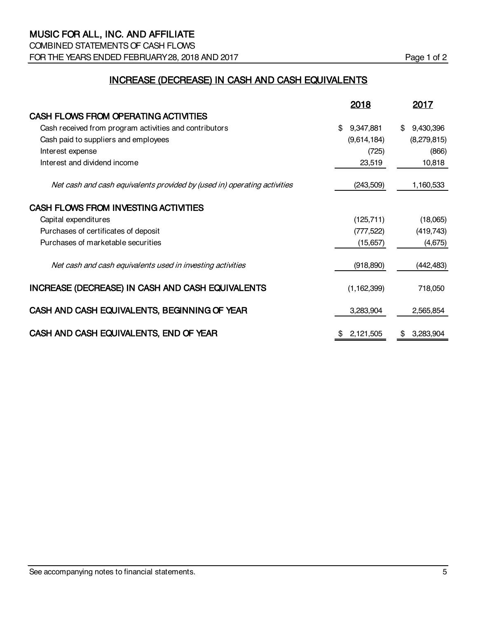COMBINED STATEMENTS OF CASH FLOWS FOR THE YEARS ENDED FEBRUARY 28, 2018 AND 2017 **Page 1** of 2

# INCREASE (DECREASE) IN CASH AND CASH EQUIVALENTS

|                                                                          | 2018            | 2017            |
|--------------------------------------------------------------------------|-----------------|-----------------|
| CASH FLOWS FROM OPERATING ACTIVITIES                                     |                 |                 |
| Cash received from program activities and contributors                   | 9,347,881<br>\$ | 9,430,396<br>\$ |
| Cash paid to suppliers and employees                                     | (9,614,184)     | (8,279,815)     |
| Interest expense                                                         | (725)           | (866)           |
| Interest and dividend income                                             | 23,519          | 10,818          |
| Net cash and cash equivalents provided by (used in) operating activities | (243,509)       | 1,160,533       |
| CASH FLOWS FROM INVESTING ACTIVITIES                                     |                 |                 |
| Capital expenditures                                                     | (125, 711)      | (18,065)        |
| Purchases of certificates of deposit                                     | (777, 522)      | (419, 743)      |
| Purchases of marketable securities                                       | (15,657)        | (4,675)         |
| Net cash and cash equivalents used in investing activities               | (918, 890)      | (442, 483)      |
| INCREASE (DECREASE) IN CASH AND CASH EQUIVALENTS                         | (1, 162, 399)   | 718,050         |
| CASH AND CASH EQUIVALENTS, BEGINNING OF YEAR                             | 3,283,904       | 2,565,854       |
| CASH AND CASH EQUIVALENTS, END OF YEAR                                   | 2,121,505       | 3,283,904<br>S  |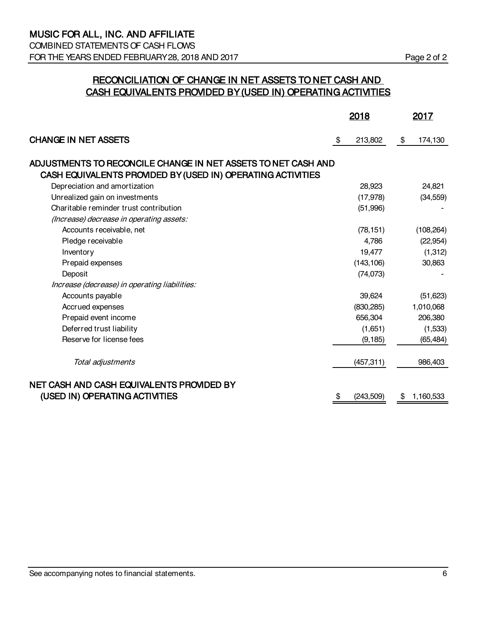COMBINED STATEMENTS OF CASH FLOWS FOR THE YEARS ENDED FEBRUARY 28, 2018 AND 2017 Page 2 of 2

# RECONCILIATION OF CHANGE IN NET ASSETS TO NET CASH AND CASH EQUIVALENTS PROVIDED BY (USED IN) OPERATING ACTIVITIES

|                                                               | <u>2018</u>     | 2017            |
|---------------------------------------------------------------|-----------------|-----------------|
| <b>CHANGE IN NET ASSETS</b>                                   | \$<br>213,802   | \$<br>174,130   |
| ADJUSTMENTS TO RECONCILE CHANGE IN NET ASSETS TO NET CASH AND |                 |                 |
| CASH EQUIVALENTS PROVIDED BY (USED IN) OPERATING ACTIVITIES   |                 |                 |
| Depreciation and amortization                                 | 28,923          | 24,821          |
| Unrealized gain on investments                                | (17, 978)       | (34, 559)       |
| Charitable reminder trust contribution                        | (51,996)        |                 |
| (Increase) decrease in operating assets:                      |                 |                 |
| Accounts receivable, net                                      | (78, 151)       | (108, 264)      |
| Pledge receivable                                             | 4,786           | (22, 954)       |
| Inventory                                                     | 19,477          | (1, 312)        |
| Prepaid expenses                                              | (143, 106)      | 30,863          |
| Deposit                                                       | (74, 073)       |                 |
| Increase (decrease) in operating liabilities:                 |                 |                 |
| Accounts payable                                              | 39,624          | (51, 623)       |
| Accrued expenses                                              | (830, 285)      | 1,010,068       |
| Prepaid event income                                          | 656,304         | 206,380         |
| Deferred trust liability                                      | (1,651)         | (1,533)         |
| Reserve for license fees                                      | (9, 185)        | (65, 484)       |
| Total adjustments                                             | (457, 311)      | 986,403         |
| NET CASH AND CASH EQUIVALENTS PROVIDED BY                     |                 |                 |
| (USED IN) OPERATING ACTIVITIES                                | \$<br>(243,509) | \$<br>1,160,533 |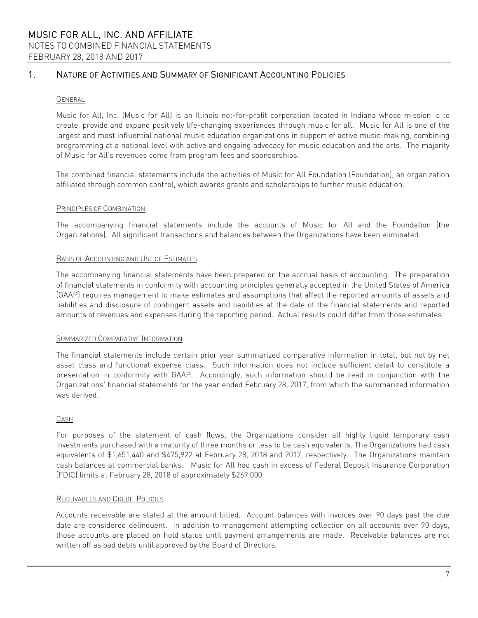# 1. NATURE OF ACTIVITIES AND SUMMARY OF SIGNIFICANT ACCOUNTING POLICIES

### **GENERAL**

Music for All, Inc. (Music for All) is an Illinois not-for-profit corporation located in Indiana whose mission is to create, provide and expand positively life-changing experiences through music for all. Music for All is one of the largest and most influential national music education organizations in support of active music-making, combining programming at a national level with active and ongoing advocacy for music education and the arts. The majority of Music for All's revenues come from program fees and sponsorships.

The combined financial statements include the activities of Music for All Foundation (Foundation), an organization affiliated through common control, which awards grants and scholarships to further music education.

### PRINCIPLES OF COMBINATION

The accompanying financial statements include the accounts of Music for All and the Foundation (the Organizations). All significant transactions and balances between the Organizations have been eliminated.

### BASIS OF ACCOUNTING AND USE OF ESTIMATES

The accompanying financial statements have been prepared on the accrual basis of accounting. The preparation of financial statements in conformity with accounting principles generally accepted in the United States of America (GAAP) requires management to make estimates and assumptions that affect the reported amounts of assets and liabilities and disclosure of contingent assets and liabilities at the date of the financial statements and reported amounts of revenues and expenses during the reporting period. Actual results could differ from those estimates.

### SUMMARIZED COMPARATIVE INFORMATION

The financial statements include certain prior year summarized comparative information in total, but not by net asset class and functional expense class. Such information does not include sufficient detail to constitute a presentation in conformity with GAAP. Accordingly, such information should be read in conjunction with the Organizations' financial statements for the year ended February 28, 2017, from which the summarized information was derived.

### CASH

For purposes of the statement of cash flows, the Organizations consider all highly liquid temporary cash investments purchased with a maturity of three months or less to be cash equivalents. The Organizations had cash equivalents of \$1,651,440 and \$475,922 at February 28, 2018 and 2017, respectively. The Organizations maintain cash balances at commercial banks. Music for All had cash in excess of Federal Deposit Insurance Corporation (FDIC) limits at February 28, 2018 of approximately \$269,000.

### RECEIVABLES AND CREDIT POLICIES

Accounts receivable are stated at the amount billed. Account balances with invoices over 90 days past the due date are considered delinquent. In addition to management attempting collection on all accounts over 90 days, those accounts are placed on hold status until payment arrangements are made. Receivable balances are not written off as bad debts until approved by the Board of Directors.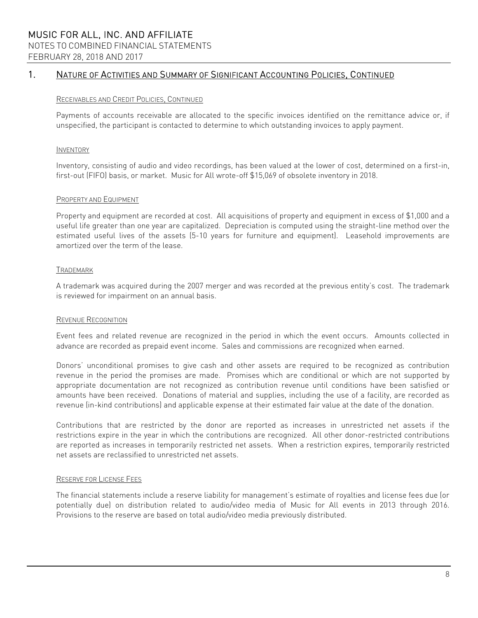# MUSIC FOR ALL, INC. AND AFFILIATE NOTES TO COMBINED FINANCIAL STATEMENTS FEBRUARY 28, 2018 AND 2017

# 1. NATURE OF ACTIVITIES AND SUMMARY OF SIGNIFICANT ACCOUNTING POLICIES, CONTINUED

### RECEIVABLES AND CREDIT POLICIES, CONTINUED

Payments of accounts receivable are allocated to the specific invoices identified on the remittance advice or, if unspecified, the participant is contacted to determine to which outstanding invoices to apply payment.

### INVENTORY

Inventory, consisting of audio and video recordings, has been valued at the lower of cost, determined on a first-in, first-out (FIFO) basis, or market. Music for All wrote-off \$15,069 of obsolete inventory in 2018.

### PROPERTY AND EQUIPMENT

Property and equipment are recorded at cost. All acquisitions of property and equipment in excess of \$1,000 and a useful life greater than one year are capitalized. Depreciation is computed using the straight-line method over the estimated useful lives of the assets (5-10 years for furniture and equipment). Leasehold improvements are amortized over the term of the lease.

### TRADEMARK

A trademark was acquired during the 2007 merger and was recorded at the previous entity's cost. The trademark is reviewed for impairment on an annual basis.

### REVENUE RECOGNITION

Event fees and related revenue are recognized in the period in which the event occurs. Amounts collected in advance are recorded as prepaid event income. Sales and commissions are recognized when earned.

Donors' unconditional promises to give cash and other assets are required to be recognized as contribution revenue in the period the promises are made. Promises which are conditional or which are not supported by appropriate documentation are not recognized as contribution revenue until conditions have been satisfied or amounts have been received. Donations of material and supplies, including the use of a facility, are recorded as revenue (in-kind contributions) and applicable expense at their estimated fair value at the date of the donation.

Contributions that are restricted by the donor are reported as increases in unrestricted net assets if the restrictions expire in the year in which the contributions are recognized. All other donor-restricted contributions are reported as increases in temporarily restricted net assets. When a restriction expires, temporarily restricted net assets are reclassified to unrestricted net assets.

### RESERVE FOR LICENSE FEES

The financial statements include a reserve liability for management's estimate of royalties and license fees due (or potentially due) on distribution related to audio/video media of Music for All events in 2013 through 2016. Provisions to the reserve are based on total audio/video media previously distributed.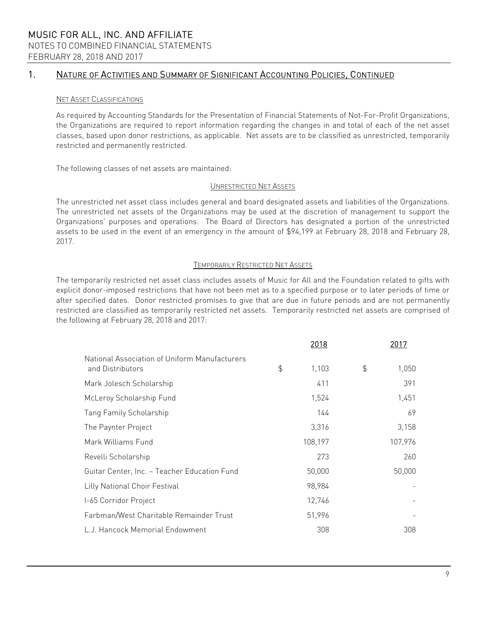# 1. NATURE OF ACTIVITIES AND SUMMARY OF SIGNIFICANT ACCOUNTING POLICIES, CONTINUED

### NET ASSET CLASSIFICATIONS

As required by Accounting Standards for the Presentation of Financial Statements of Not-For-Profit Organizations, the Organizations are required to report information regarding the changes in and total of each of the net asset classes, based upon donor restrictions, as applicable. Net assets are to be classified as unrestricted, temporarily restricted and permanently restricted.

The following classes of net assets are maintained:

### UNRESTRICTED NET ASSETS

The unrestricted net asset class includes general and board designated assets and liabilities of the Organizations. The unrestricted net assets of the Organizations may be used at the discretion of management to support the Organizations' purposes and operations. The Board of Directors has designated a portion of the unrestricted assets to be used in the event of an emergency in the amount of \$94,199 at February 28, 2018 and February 28, 2017.

### TEMPORARILY RESTRICTED NET ASSETS

The temporarily restricted net asset class includes assets of Music for All and the Foundation related to gifts with explicit donor-imposed restrictions that have not been met as to a specified purpose or to later periods of time or after specified dates. Donor restricted promises to give that are due in future periods and are not permanently restricted are classified as temporarily restricted net assets. Temporarily restricted net assets are comprised of the following at February 28, 2018 and 2017:

|                                                                   | 2018        | 2017        |
|-------------------------------------------------------------------|-------------|-------------|
| National Association of Uniform Manufacturers<br>and Distributors | \$<br>1,103 | \$<br>1,050 |
| Mark Jolesch Scholarship                                          | 411         | 391         |
| McLeroy Scholarship Fund                                          | 1,524       | 1,451       |
| Tang Family Scholarship                                           | 144         | 69          |
| The Paynter Project                                               | 3,316       | 3,158       |
| Mark Williams Fund                                                | 108,197     | 107,976     |
| Revelli Scholarship                                               | 273         | 260         |
| Guitar Center, Inc. - Teacher Education Fund                      | 50,000      | 50,000      |
| Lilly National Choir Festival                                     | 98,984      |             |
| I-65 Corridor Project                                             | 12,746      |             |
| Farbman/West Charitable Remainder Trust                           | 51,996      |             |
| L.J. Hancock Memorial Endowment                                   | 308         | 308         |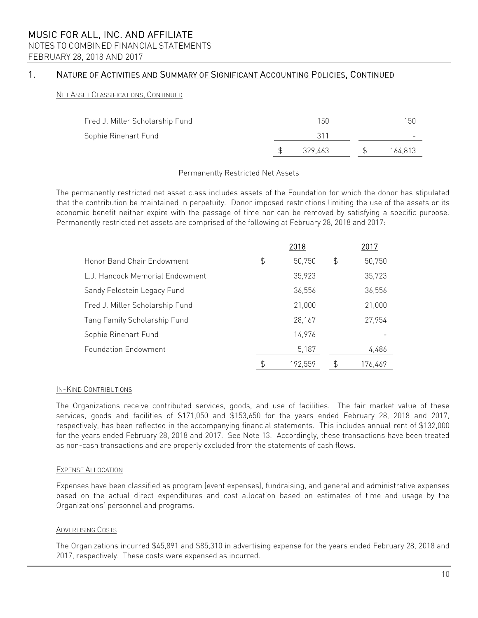# NOTES TO COMBINED FINANCIAL STATEMENTS

FEBRUARY 28, 2018 AND 2017

# 1. NATURE OF ACTIVITIES AND SUMMARY OF SIGNIFICANT ACCOUNTING POLICIES, CONTINUED

### NET ASSET CLASSIFICATIONS, CONTINUED

| Fred J. Miller Scholarship Fund | 150     | 150     |
|---------------------------------|---------|---------|
| Sophie Rinehart Fund            | 311     |         |
|                                 | 329.463 | 164,813 |

### Permanently Restricted Net Assets

The permanently restricted net asset class includes assets of the Foundation for which the donor has stipulated that the contribution be maintained in perpetuity. Donor imposed restrictions limiting the use of the assets or its economic benefit neither expire with the passage of time nor can be removed by satisfying a specific purpose. Permanently restricted net assets are comprised of the following at February 28, 2018 and 2017:

|                                 | 2018          |    | 2017    |
|---------------------------------|---------------|----|---------|
| Honor Band Chair Endowment      | \$<br>50,750  | \$ | 50,750  |
| L.J. Hancock Memorial Endowment | 35,923        |    | 35,723  |
| Sandy Feldstein Legacy Fund     | 36,556        |    | 36,556  |
| Fred J. Miller Scholarship Fund | 21,000        |    | 21,000  |
| Tang Family Scholarship Fund    | 28,167        |    | 27,954  |
| Sophie Rinehart Fund            | 14,976        |    |         |
| <b>Foundation Endowment</b>     | 5,187         |    | 4,486   |
|                                 | \$<br>192.559 | S  | 176.469 |

### IN-KIND CONTRIBUTIONS

The Organizations receive contributed services, goods, and use of facilities. The fair market value of these services, goods and facilities of \$171,050 and \$153,650 for the years ended February 28, 2018 and 2017, respectively, has been reflected in the accompanying financial statements. This includes annual rent of \$132,000 for the years ended February 28, 2018 and 2017. See Note 13. Accordingly, these transactions have been treated as non-cash transactions and are properly excluded from the statements of cash flows.

### EXPENSE ALLOCATION

Expenses have been classified as program (event expenses), fundraising, and general and administrative expenses based on the actual direct expenditures and cost allocation based on estimates of time and usage by the Organizations' personnel and programs.

### ADVERTISING COSTS

The Organizations incurred \$45,891 and \$85,310 in advertising expense for the years ended February 28, 2018 and 2017, respectively. These costs were expensed as incurred.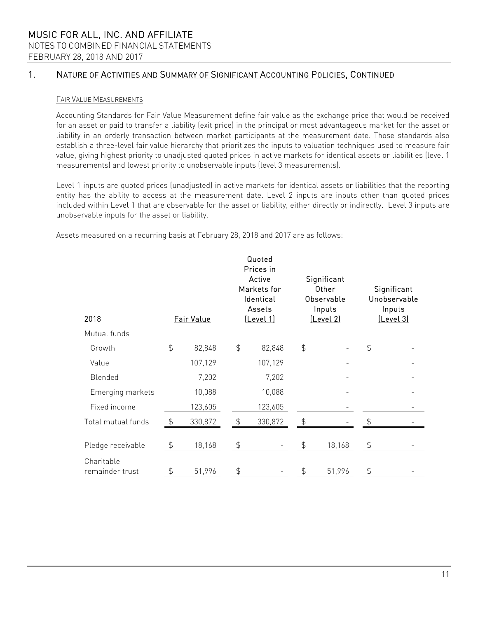# MUSIC FOR ALL, INC. AND AFFILIATE NOTES TO COMBINED FINANCIAL STATEMENTS FEBRUARY 28, 2018 AND 2017

# 1. NATURE OF ACTIVITIES AND SUMMARY OF SIGNIFICANT ACCOUNTING POLICIES, CONTINUED

### FAIR VALUE MEASUREMENTS

Accounting Standards for Fair Value Measurement define fair value as the exchange price that would be received for an asset or paid to transfer a liability (exit price) in the principal or most advantageous market for the asset or liability in an orderly transaction between market participants at the measurement date. Those standards also establish a three-level fair value hierarchy that prioritizes the inputs to valuation techniques used to measure fair value, giving highest priority to unadjusted quoted prices in active markets for identical assets or liabilities (level 1 measurements) and lowest priority to unobservable inputs (level 3 measurements).

Level 1 inputs are quoted prices (unadjusted) in active markets for identical assets or liabilities that the reporting entity has the ability to access at the measurement date. Level 2 inputs are inputs other than quoted prices included within Level 1 that are observable for the asset or liability, either directly or indirectly. Level 3 inputs are unobservable inputs for the asset or liability.

Assets measured on a recurring basis at February 28, 2018 and 2017 are as follows:

| 2018                          |               | Fair Value |                | Quoted<br>Prices in<br>Active<br>Markets for<br>Identical<br>Assets<br><u>(Level 1)</u> |               | Significant<br>Other<br>Observable<br>Inputs<br>[Level 2] |                | Significant<br>Unobservable<br>Inputs<br>[Level 3] |
|-------------------------------|---------------|------------|----------------|-----------------------------------------------------------------------------------------|---------------|-----------------------------------------------------------|----------------|----------------------------------------------------|
| Mutual funds                  |               |            |                |                                                                                         |               |                                                           |                |                                                    |
| Growth                        | $\frac{1}{2}$ | 82,848     | $\frac{4}{5}$  | 82,848                                                                                  | $\frac{4}{5}$ |                                                           | \$             |                                                    |
| Value                         |               | 107,129    |                | 107,129                                                                                 |               |                                                           |                |                                                    |
| Blended                       |               | 7,202      |                | 7,202                                                                                   |               |                                                           |                |                                                    |
| Emerging markets              |               | 10,088     |                | 10,088                                                                                  |               |                                                           |                |                                                    |
| Fixed income                  |               | 123,605    |                | 123,605                                                                                 |               |                                                           |                |                                                    |
| Total mutual funds            | \$            | 330,872    | $\frac{1}{2}$  | 330,872                                                                                 |               |                                                           |                |                                                    |
| Pledge receivable             | \$            | 18,168     | $\updownarrow$ |                                                                                         | \$            | 18,168                                                    | $\updownarrow$ |                                                    |
| Charitable<br>remainder trust | \$            | 51,996     | \$             |                                                                                         | \$            | 51,996                                                    | \$             |                                                    |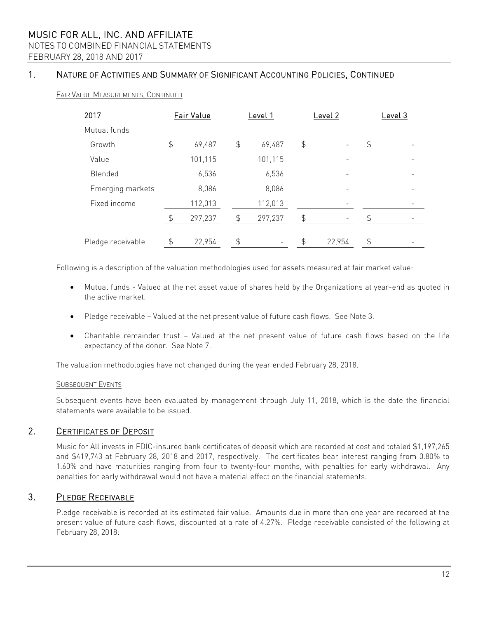# NOTES TO COMBINED FINANCIAL STATEMENTS

FEBRUARY 28, 2018 AND 2017

# 1. NATURE OF ACTIVITIES AND SUMMARY OF SIGNIFICANT ACCOUNTING POLICIES, CONTINUED

### FAIR VALUE MEASUREMENTS, CONTINUED

| 2017              |               | Fair Value |                | Level 1 |               | Level 2                  | <u>Level 3</u> |
|-------------------|---------------|------------|----------------|---------|---------------|--------------------------|----------------|
| Mutual funds      |               |            |                |         |               |                          |                |
| Growth            | $\frac{4}{5}$ | 69,487     | $\frac{4}{5}$  | 69,487  | $\frac{1}{2}$ | $\overline{\phantom{a}}$ | \$             |
| Value             |               | 101,115    |                | 101,115 |               |                          |                |
| Blended           |               | 6,536      |                | 6,536   |               |                          |                |
| Emerging markets  |               | 8,086      |                | 8,086   |               |                          |                |
| Fixed income      |               | 112,013    |                | 112,013 |               |                          |                |
|                   | $\mathcal{L}$ | 297,237    | $\mathfrak{L}$ | 297,237 | \$            |                          |                |
| Pledge receivable | $\frac{1}{2}$ | 22,954     | \$             | -       | \$            | 22,954                   | \$             |

Following is a description of the valuation methodologies used for assets measured at fair market value:

- Mutual funds Valued at the net asset value of shares held by the Organizations at year-end as quoted in the active market.
- Pledge receivable Valued at the net present value of future cash flows. See Note 3.
- Charitable remainder trust Valued at the net present value of future cash flows based on the life expectancy of the donor. See Note 7.

The valuation methodologies have not changed during the year ended February 28, 2018.

### SUBSEQUENT EVENTS

Subsequent events have been evaluated by management through July 11, 2018, which is the date the financial statements were available to be issued.

# 2. CERTIFICATES OF DEPOSIT

Music for All invests in FDIC-insured bank certificates of deposit which are recorded at cost and totaled \$1,197,265 and \$419,743 at February 28, 2018 and 2017, respectively. The certificates bear interest ranging from 0.80% to 1.60% and have maturities ranging from four to twenty-four months, with penalties for early withdrawal. Any penalties for early withdrawal would not have a material effect on the financial statements.

# 3. PLEDGE RECEIVABLE

Pledge receivable is recorded at its estimated fair value. Amounts due in more than one year are recorded at the present value of future cash flows, discounted at a rate of 4.27%. Pledge receivable consisted of the following at February 28, 2018: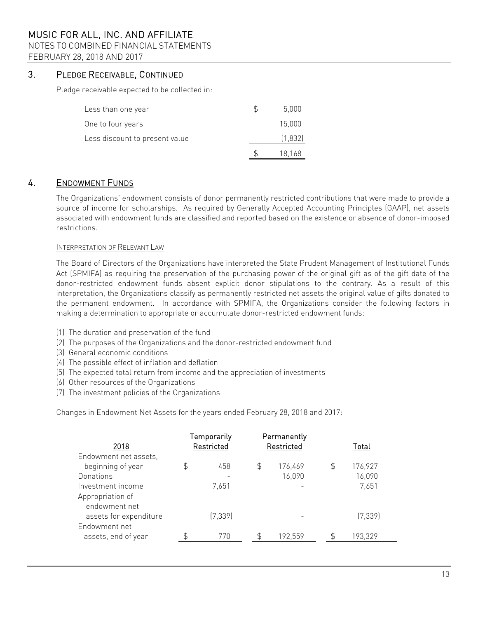# NOTES TO COMBINED FINANCIAL STATEMENTS

FEBRUARY 28, 2018 AND 2017

# 3. PLEDGE RECEIVABLE, CONTINUED

Pledge receivable expected to be collected in:

| Less than one year             | 5,000   |
|--------------------------------|---------|
| One to four years              | 15.000  |
| Less discount to present value | (1,832) |
|                                | 18,168  |

# 4. ENDOWMENT FUNDS

The Organizations' endowment consists of donor permanently restricted contributions that were made to provide a source of income for scholarships. As required by Generally Accepted Accounting Principles (GAAP), net assets associated with endowment funds are classified and reported based on the existence or absence of donor-imposed restrictions.

### INTERPRETATION OF RELEVANT LAW

The Board of Directors of the Organizations have interpreted the State Prudent Management of Institutional Funds Act (SPMIFA) as requiring the preservation of the purchasing power of the original gift as of the gift date of the donor-restricted endowment funds absent explicit donor stipulations to the contrary. As a result of this interpretation, the Organizations classify as permanently restricted net assets the original value of gifts donated to the permanent endowment. In accordance with SPMIFA, the Organizations consider the following factors in making a determination to appropriate or accumulate donor-restricted endowment funds:

- (1) The duration and preservation of the fund
- (2) The purposes of the Organizations and the donor-restricted endowment fund
- (3) General economic conditions
- (4) The possible effect of inflation and deflation
- (5) The expected total return from income and the appreciation of investments
- (6) Other resources of the Organizations
- (7) The investment policies of the Organizations

Changes in Endowment Net Assets for the years ended February 28, 2018 and 2017:

| 2018                   | Temporarily<br>Restricted |          | Permanently<br>Restricted |    | Total    |  |  |
|------------------------|---------------------------|----------|---------------------------|----|----------|--|--|
| Endowment net assets,  |                           |          |                           |    |          |  |  |
| beginning of year      | \$                        | 458      | \$<br>176,469             | \$ | 176,927  |  |  |
| Donations              |                           |          | 16,090                    |    | 16,090   |  |  |
| Investment income      |                           | 7,651    |                           |    | 7,651    |  |  |
| Appropriation of       |                           |          |                           |    |          |  |  |
| endowment net          |                           |          |                           |    |          |  |  |
| assets for expenditure |                           | (7, 339) |                           |    | (7, 339) |  |  |
| Endowment net          |                           |          |                           |    |          |  |  |
| assets, end of year    |                           | 770      | 192,559                   | ፍ  | 193,329  |  |  |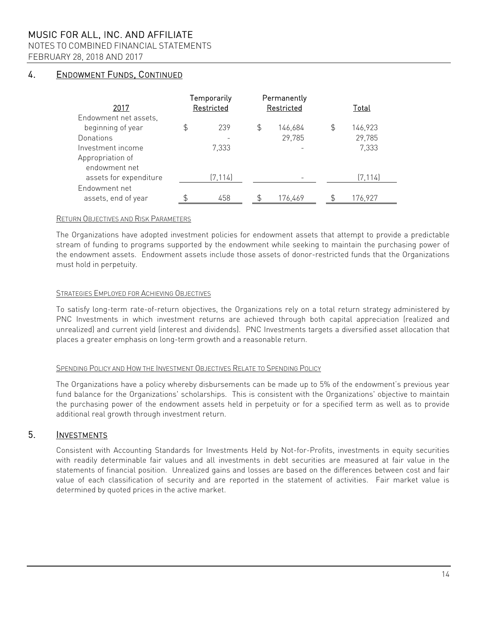NOTES TO COMBINED FINANCIAL STATEMENTS

FEBRUARY 28, 2018 AND 2017

# 4. ENDOWMENT FUNDS, CONTINUED

| 2017                   | Temporarily<br>Restricted |          |                | Permanently<br>Restricted | Total         |
|------------------------|---------------------------|----------|----------------|---------------------------|---------------|
| Endowment net assets,  |                           |          |                |                           |               |
| beginning of year      | \$                        | 239      | $\mathfrak{P}$ | 146,684                   | \$<br>146,923 |
| Donations              |                           |          |                | 29,785                    | 29,785        |
| Investment income      |                           | 7,333    |                |                           | 7,333         |
| Appropriation of       |                           |          |                |                           |               |
| endowment net          |                           |          |                |                           |               |
| assets for expenditure |                           | (7, 114) |                |                           | (7, 114)      |
| Endowment net          |                           |          |                |                           |               |
| assets, end of year    |                           | 458      |                | 176,469                   | 176,927       |

### RETURN OBJECTIVES AND RISK PARAMETERS

The Organizations have adopted investment policies for endowment assets that attempt to provide a predictable stream of funding to programs supported by the endowment while seeking to maintain the purchasing power of the endowment assets. Endowment assets include those assets of donor-restricted funds that the Organizations must hold in perpetuity.

### STRATEGIES EMPLOYED FOR ACHIEVING OBJECTIVES

To satisfy long-term rate-of-return objectives, the Organizations rely on a total return strategy administered by PNC Investments in which investment returns are achieved through both capital appreciation (realized and unrealized) and current yield (interest and dividends). PNC Investments targets a diversified asset allocation that places a greater emphasis on long-term growth and a reasonable return.

### SPENDING POLICY AND HOW THE INVESTMENT OBJECTIVES RELATE TO SPENDING POLICY

The Organizations have a policy whereby disbursements can be made up to 5% of the endowment's previous year fund balance for the Organizations' scholarships. This is consistent with the Organizations' objective to maintain the purchasing power of the endowment assets held in perpetuity or for a specified term as well as to provide additional real growth through investment return.

# 5. INVESTMENTS

Consistent with Accounting Standards for Investments Held by Not-for-Profits, investments in equity securities with readily determinable fair values and all investments in debt securities are measured at fair value in the statements of financial position. Unrealized gains and losses are based on the differences between cost and fair value of each classification of security and are reported in the statement of activities. Fair market value is determined by quoted prices in the active market.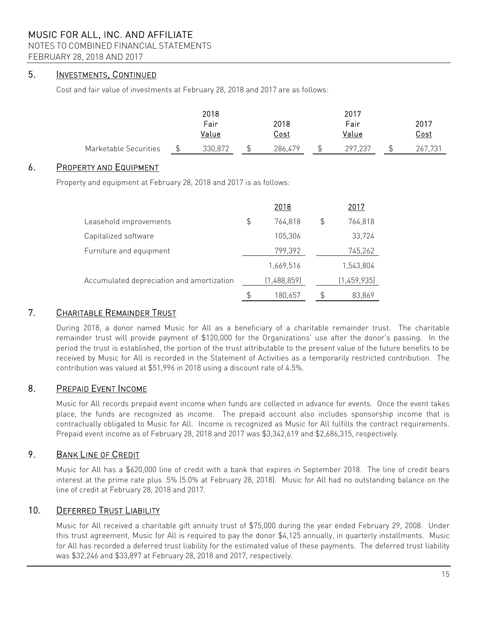### NOTES TO COMBINED FINANCIAL STATEMENTS

FEBRUARY 28, 2018 AND 2017

# 5. INVESTMENTS, CONTINUED

Cost and fair value of investments at February 28, 2018 and 2017 are as follows:

|                       | 2018         |         |  |             |  | 2017    |         |  |  |
|-----------------------|--------------|---------|--|-------------|--|---------|---------|--|--|
|                       | 2018<br>Fair |         |  |             |  | Fair    | 2017    |  |  |
|                       |              | Value   |  | <u>Cost</u> |  | Value   | Cost    |  |  |
| Marketable Securities |              | 330,872 |  | 286,479     |  | 297,237 | 267.731 |  |  |

### 6. PROPERTY AND EQUIPMENT

Property and equipment at February 28, 2018 and 2017 is as follows:

|     | 2018        |    | 2017        |
|-----|-------------|----|-------------|
| \$  | 764,818     | \$ | 764,818     |
|     | 105,306     |    | 33,724      |
|     | 799,392     |    | 745,262     |
|     | 1,669,516   |    | 1,543,804   |
|     | (1,488,859) |    | (1,459,935) |
| \$. | 180,657     | S  | 83,869      |
|     |             |    |             |

# 7. CHARITABLE REMAINDER TRUST

During 2018, a donor named Music for All as a beneficiary of a charitable remainder trust. The charitable remainder trust will provide payment of \$120,000 for the Organizations' use after the donor's passing. In the period the trust is established, the portion of the trust attributable to the present value of the future benefits to be received by Music for All is recorded in the Statement of Activities as a temporarily restricted contribution. The contribution was valued at \$51,996 in 2018 using a discount rate of 4.5%.

# 8. PREPAID EVENT INCOME

Music for All records prepaid event income when funds are collected in advance for events. Once the event takes place, the funds are recognized as income. The prepaid account also includes sponsorship income that is contractually obligated to Music for All. Income is recognized as Music for All fulfills the contract requirements. Prepaid event income as of February 28, 2018 and 2017 was \$3,342,619 and \$2,686,315, respectively.

# 9. BANK LINE OF CREDIT

Music for All has a \$620,000 line of credit with a bank that expires in September 2018. The line of credit bears interest at the prime rate plus .5% (5.0% at February 28, 2018). Music for All had no outstanding balance on the line of credit at February 28, 2018 and 2017.

# 10. DEFERRED TRUST LIABILITY

Music for All received a charitable gift annuity trust of \$75,000 during the year ended February 29, 2008. Under this trust agreement, Music for All is required to pay the donor \$4,125 annually, in quarterly installments. Music for All has recorded a deferred trust liability for the estimated value of these payments. The deferred trust liability was \$32,246 and \$33,897 at February 28, 2018 and 2017, respectively.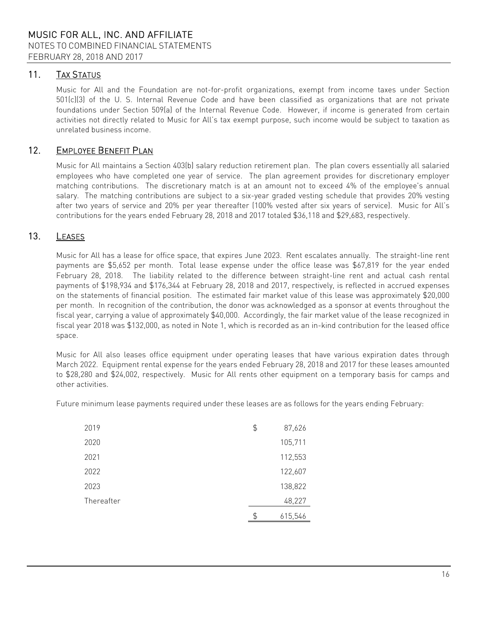# 11. TAX STATUS

Music for All and the Foundation are not-for-profit organizations, exempt from income taxes under Section 501(c)(3) of the U. S. Internal Revenue Code and have been classified as organizations that are not private foundations under Section 509(a) of the Internal Revenue Code. However, if income is generated from certain activities not directly related to Music for All's tax exempt purpose, such income would be subject to taxation as unrelated business income.

# 12. EMPLOYEE BENEFIT PLAN

Music for All maintains a Section 403(b) salary reduction retirement plan. The plan covers essentially all salaried employees who have completed one year of service. The plan agreement provides for discretionary employer matching contributions. The discretionary match is at an amount not to exceed 4% of the employee's annual salary. The matching contributions are subject to a six-year graded vesting schedule that provides 20% vesting after two years of service and 20% per year thereafter (100% vested after six years of service). Music for All's contributions for the years ended February 28, 2018 and 2017 totaled \$36,118 and \$29,683, respectively.

# 13. LEASES

Music for All has a lease for office space, that expires June 2023. Rent escalates annually. The straight-line rent payments are \$5,652 per month. Total lease expense under the office lease was \$67,819 for the year ended February 28, 2018. The liability related to the difference between straight-line rent and actual cash rental payments of \$198,934 and \$176,344 at February 28, 2018 and 2017, respectively, is reflected in accrued expenses on the statements of financial position. The estimated fair market value of this lease was approximately \$20,000 per month. In recognition of the contribution, the donor was acknowledged as a sponsor at events throughout the fiscal year, carrying a value of approximately \$40,000. Accordingly, the fair market value of the lease recognized in fiscal year 2018 was \$132,000, as noted in Note 1, which is recorded as an in-kind contribution for the leased office space.

Music for All also leases office equipment under operating leases that have various expiration dates through March 2022. Equipment rental expense for the years ended February 28, 2018 and 2017 for these leases amounted to \$28,280 and \$24,002, respectively. Music for All rents other equipment on a temporary basis for camps and other activities.

Future minimum lease payments required under these leases are as follows for the years ending February:

| 2019       | \$<br>87,626  |
|------------|---------------|
| 2020       | 105,711       |
| 2021       | 112,553       |
| 2022       | 122,607       |
| 2023       | 138,822       |
| Thereafter | 48,227        |
|            | \$<br>615,546 |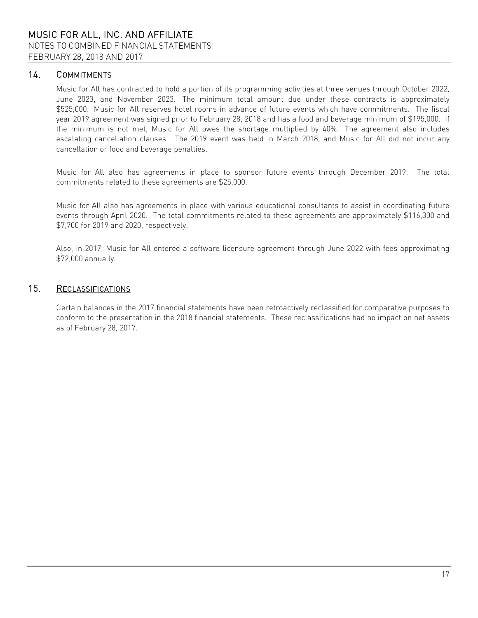# 14. COMMITMENTS

Music for All has contracted to hold a portion of its programming activities at three venues through October 2022, June 2023, and November 2023. The minimum total amount due under these contracts is approximately \$525,000. Music for All reserves hotel rooms in advance of future events which have commitments. The fiscal year 2019 agreement was signed prior to February 28, 2018 and has a food and beverage minimum of \$195,000. If the minimum is not met, Music for All owes the shortage multiplied by 40%. The agreement also includes escalating cancellation clauses. The 2019 event was held in March 2018, and Music for All did not incur any cancellation or food and beverage penalties.

Music for All also has agreements in place to sponsor future events through December 2019. The total commitments related to these agreements are \$25,000.

Music for All also has agreements in place with various educational consultants to assist in coordinating future events through April 2020. The total commitments related to these agreements are approximately \$116,300 and \$7,700 for 2019 and 2020, respectively.

Also, in 2017, Music for All entered a software licensure agreement through June 2022 with fees approximating \$72,000 annually.

# 15. RECLASSIFICATIONS

Certain balances in the 2017 financial statements have been retroactively reclassified for comparative purposes to conform to the presentation in the 2018 financial statements. These reclassifications had no impact on net assets as of February 28, 2017.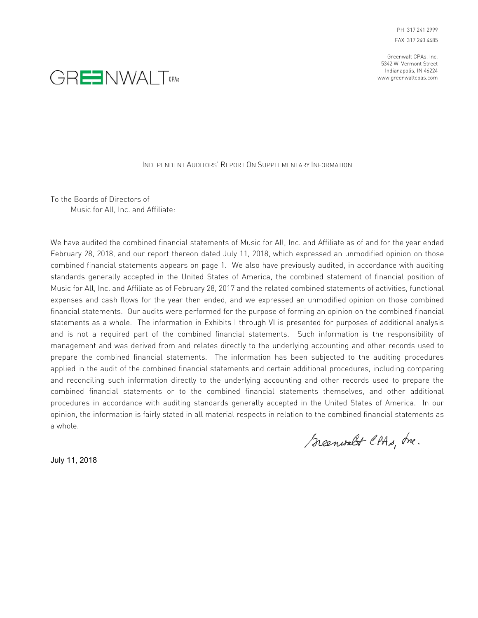PH 317 241 2999 FAX 317 240 4485

Greenwalt CPAs, Inc. 5342 W. Vermont Street Indianapolis, IN 46224 www.greenwaltcpas.com



#### INDEPENDENT AUDITORS' REPORT ON SUPPLEMENTARY INFORMATION

To the Boards of Directors of Music for All, Inc. and Affiliate:

We have audited the combined financial statements of Music for All, Inc. and Affiliate as of and for the year ended February 28, 2018, and our report thereon dated July 11, 2018, which expressed an unmodified opinion on those combined financial statements appears on page 1. We also have previously audited, in accordance with auditing standards generally accepted in the United States of America, the combined statement of financial position of Music for All, Inc. and Affiliate as of February 28, 2017 and the related combined statements of activities, functional expenses and cash flows for the year then ended, and we expressed an unmodified opinion on those combined financial statements. Our audits were performed for the purpose of forming an opinion on the combined financial statements as a whole. The information in Exhibits I through VI is presented for purposes of additional analysis and is not a required part of the combined financial statements. Such information is the responsibility of management and was derived from and relates directly to the underlying accounting and other records used to prepare the combined financial statements. The information has been subjected to the auditing procedures applied in the audit of the combined financial statements and certain additional procedures, including comparing and reconciling such information directly to the underlying accounting and other records used to prepare the combined financial statements or to the combined financial statements themselves, and other additional procedures in accordance with auditing standards generally accepted in the United States of America. In our opinion, the information is fairly stated in all material respects in relation to the combined financial statements as a whole.

Greenwalt CPAs, Inc.

July 11, 2018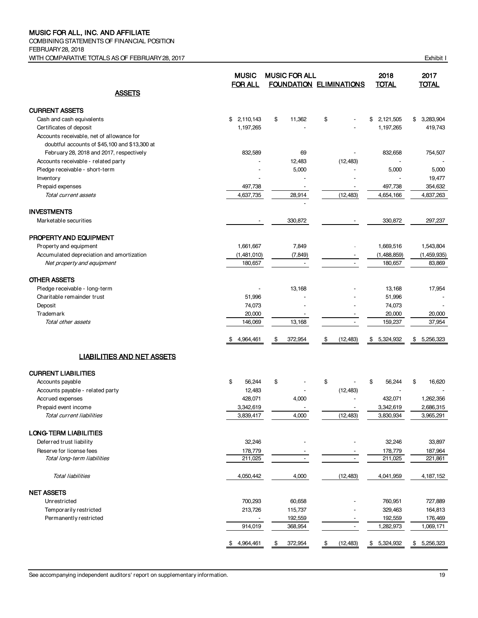COMBINING STATEMENTS OF FINANCIAL POSITION FEBRUARY 28, 2018 WITH COMPARATIVE TOTALS AS OF FEBRUARY 28, 2017 CHANGE AND THE SERVICE OF STATISTIC RESPONSE IN EXHibit I

|                                                      | <b>MUSIC</b><br><b>FOR ALL</b> | <b>MUSIC FOR ALL</b>     | <b>FOUNDATION ELIMINATIONS</b> | 2018<br><b>TOTAL</b> | 2017<br><b>TOTAL</b> |
|------------------------------------------------------|--------------------------------|--------------------------|--------------------------------|----------------------|----------------------|
| <b>ASSETS</b>                                        |                                |                          |                                |                      |                      |
| <b>CURRENT ASSETS</b>                                |                                |                          |                                |                      |                      |
| Cash and cash equivalents                            | 2,110,143<br>\$                | \$<br>11,362             | \$                             | 2,121,505<br>\$      | 3,283,904<br>\$      |
| Certificates of deposit                              | 1,197,265                      |                          |                                | 1,197,265            | 419,743              |
| Accounts receivable, net of allowance for            |                                |                          |                                |                      |                      |
| doubtful accounts of \$45,100 and \$13,300 at        |                                |                          |                                |                      |                      |
| February 28, 2018 and 2017, respectively             | 832,589                        | 69                       |                                | 832,658              | 754,507              |
| Accounts receivable - related party                  |                                | 12,483                   | (12, 483)                      |                      |                      |
| Pledge receivable - short-term                       |                                | 5,000                    |                                | 5,000                | 5,000                |
| Inventory                                            |                                |                          |                                |                      | 19,477               |
| Prepaid expenses                                     | 497,738                        | $\overline{\phantom{a}}$ | $\overline{\phantom{a}}$       | 497,738              | 354,632              |
| Total current assets                                 | 4,637,735                      | 28,914                   | (12, 483)                      | 4,654,166            | 4,837,263            |
|                                                      |                                |                          |                                |                      |                      |
| <b>INVESTMENTS</b>                                   |                                |                          |                                |                      |                      |
| Marketable securities                                |                                | 330,872                  |                                | 330,872              | 297,237              |
| PROPERTY AND EQUIPMENT                               |                                |                          |                                |                      |                      |
| Property and equipment                               | 1,661,667                      | 7,849                    |                                | 1,669,516            | 1,543,804            |
| Accumulated depreciation and amortization            | (1,481,010)                    | (7, 849)                 |                                | (1,488,859)          | (1,459,935)          |
| Net property and equipment                           | 180,657                        |                          | $\blacksquare$                 | 180,657              | 83,869               |
|                                                      |                                |                          |                                |                      |                      |
| <b>OTHER ASSETS</b><br>Pledge receivable - long-term |                                | 13,168                   |                                | 13,168               | 17,954               |
| Charitable remainder trust                           | 51,996                         |                          |                                | 51,996               |                      |
| Deposit                                              | 74,073                         |                          |                                | 74,073               |                      |
| Trademark                                            | 20,000                         |                          |                                | 20,000               | 20,000               |
| Total other assets                                   | 146,069                        | 13,168                   |                                | 159,237              | 37,954               |
|                                                      |                                |                          |                                |                      |                      |
|                                                      | 4,964,461<br>\$                | 372,954<br>\$            | (12, 483)<br>\$                | \$<br>5,324,932      | \$<br>5,256,323      |
| <b>LIABILITIES AND NET ASSETS</b>                    |                                |                          |                                |                      |                      |
| <b>CURRENT LIABILITIES</b>                           |                                |                          |                                |                      |                      |
| Accounts payable                                     | \$<br>56,244                   | \$                       | \$                             | 56,244<br>\$         | \$<br>16,620         |
| Accounts payable - related party                     | 12,483                         |                          | (12, 483)                      |                      |                      |
| Accrued expenses                                     | 428,071                        | 4,000                    |                                | 432,071              | 1,262,356            |
| Prepaid event income                                 | 3,342,619                      |                          |                                | 3,342,619            | 2,686,315            |
| Total current liabilities                            | 3,839,417                      | 4.000                    | (12, 483)                      | 3,830,934            | 3,965,291            |
| <b>LONG-TERM LIABILITIES</b>                         |                                |                          |                                |                      |                      |
| Deferred trust liability                             | 32,246                         |                          |                                | 32,246               | 33,897               |
| Reserve for license fees                             | 178,779                        |                          |                                | 178,779              | 187,964              |
| Total long-term liabilities                          | 211,025                        |                          | $\blacksquare$                 | 211,025              | 221,861              |
| <b>Total liabilities</b>                             | 4,050,442                      | 4,000                    | (12, 483)                      | 4,041,959            | 4, 187, 152          |
| <b>NET ASSETS</b>                                    |                                |                          |                                |                      |                      |
| Unrestricted                                         | 700,293                        | 60,658                   |                                | 760,951              | 727,889              |
| Temporarily restricted                               | 213,726                        | 115,737                  |                                | 329,463              | 164,813              |
| Permanently restricted                               |                                | 192,559                  |                                | 192,559              | 176,469              |
|                                                      | 914,019                        | 368,954                  | $\overline{\phantom{a}}$       | 1,282,973            | 1,069,171            |
|                                                      | \$4,964,461                    | 372,954<br>\$            | \$<br>(12, 483)                | \$5,324,932          | \$5,256,323          |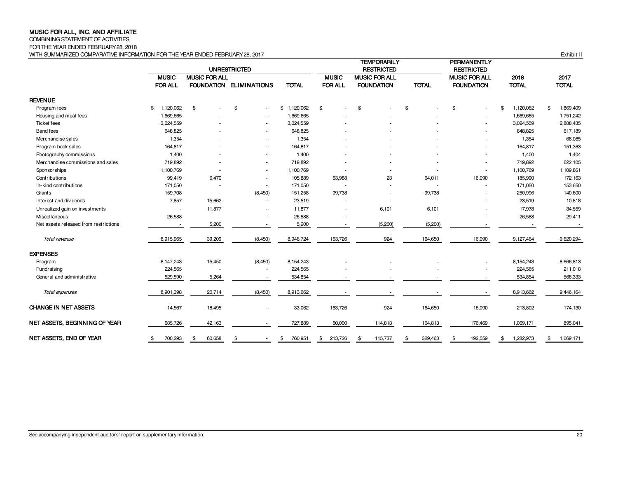COMBINING STATEMENT OF ACTIVITIES

FOR THE YEAR ENDED FEBRUARY 28, 2018

WITH SUMMARIZED COMPARATIVE INFORMATION FOR THE YEAR ENDED FEBRUARY 28, 2017 **Exhibit II** COMPARATIVE INFORMATION FOR THE YEAR ENDED FEBRUARY 28, 2017

|                                       |                 |                      | <b>UNRESTRICTED</b>            |               |                          | <b>TEMPORARILY</b><br><b>RESTRICTED</b> |               | <b>PERMANENTLY</b><br><b>RESTRICTED</b> |                  |                 |
|---------------------------------------|-----------------|----------------------|--------------------------------|---------------|--------------------------|-----------------------------------------|---------------|-----------------------------------------|------------------|-----------------|
|                                       | <b>MUSIC</b>    | <b>MUSIC FOR ALL</b> |                                |               | <b>MUSIC</b>             | <b>MUSIC FOR ALL</b>                    |               | <b>MUSIC FOR ALL</b>                    | 2018             | 2017            |
|                                       | <b>FOR ALL</b>  |                      | <b>FOUNDATION ELIMINATIONS</b> | <b>TOTAL</b>  | <b>FOR ALL</b>           | <b>FOUNDATION</b>                       | <b>TOTAL</b>  | <b>FOUNDATION</b>                       | <b>TOTAL</b>     | <b>TOTAL</b>    |
| <b>REVENUE</b>                        |                 |                      |                                |               |                          |                                         |               |                                         |                  |                 |
| Program fees                          | \$<br>1,120,062 | \$                   | \$                             | \$1,120,062   | \$<br>٠                  | \$                                      | \$            | \$<br>$\blacksquare$                    | 1,120,062<br>\$  | \$<br>1,869,409 |
| Housing and meal fees                 | 1,669,665       |                      |                                | 1,669,665     |                          |                                         |               |                                         | 1,669,665        | 1,751,242       |
| <b>Ticket</b> fees                    | 3,024,559       |                      |                                | 3,024,559     |                          |                                         |               |                                         | 3,024,559        | 2,888,435       |
| <b>Band fees</b>                      | 648,825         |                      |                                | 648,825       |                          |                                         |               |                                         | 648,825          | 617,189         |
| Merchandise sales                     | 1,354           |                      |                                | 1,354         |                          |                                         |               |                                         | 1,354            | 68,085          |
| Program book sales                    | 164,817         |                      |                                | 164,817       |                          |                                         |               |                                         | 164,817          | 151,363         |
| Photography commissions               | 1,400           |                      | ٠                              | 1,400         |                          |                                         |               |                                         | 1,400            | 1,404           |
| Merchandise commissions and sales     | 719,892         |                      | ٠                              | 719,892       |                          |                                         |               |                                         | 719,892          | 622,105         |
| Sponsorships                          | 1,100,769       |                      | ٠                              | 1,100,769     |                          |                                         |               |                                         | 1,100,769        | 1,109,861       |
| Contributions                         | 99,419          | 6,470                | ٠                              | 105,889       | 63,988                   | 23                                      | 64,011        | 16,090                                  | 185,990          | 172,163         |
| In-kind contributions                 | 171,050         |                      | $\overline{\phantom{a}}$       | 171,050       |                          |                                         |               |                                         | 171,050          | 153,650         |
| Grants                                | 159,708         | $\sim$               | (8, 450)                       | 151,258       | 99,738                   |                                         | 99,738        |                                         | 250,996          | 140,600         |
| Interest and dividends                | 7,857           | 15,662               |                                | 23,519        |                          |                                         |               |                                         | 23,519           | 10,818          |
| Unrealized gain on investments        |                 | 11,877               | ٠                              | 11,877        | $\overline{\phantom{a}}$ | 6,101                                   | 6,101         | ٠                                       | 17,978           | 34,559          |
| Miscellaneous                         | 26,588          |                      |                                | 26,588        |                          |                                         |               |                                         | 26,588           | 29,411          |
| Net assets released from restrictions |                 | 5,200                |                                | 5,200         |                          | (5,200)                                 | (5, 200)      |                                         |                  |                 |
| Total revenue                         | 8,915,965       | 39,209               | (8, 450)                       | 8,946,724     | 163,726                  | 924                                     | 164,650       | 16,090                                  | 9,127,464        | 9,620,294       |
| <b>EXPENSES</b>                       |                 |                      |                                |               |                          |                                         |               |                                         |                  |                 |
| Program                               | 8,147,243       | 15,450               | (8, 450)                       | 8,154,243     |                          |                                         |               |                                         | 8,154,243        | 8,666,813       |
| Fundraising                           | 224,565         |                      |                                | 224,565       |                          |                                         |               |                                         | 224,565          | 211,018         |
| General and administrative            | 529,590         | 5,264                |                                | 534,854       |                          |                                         |               |                                         | 534,854          | 568,333         |
| Total expenses                        | 8,901,398       | 20,714               | (8, 450)                       | 8,913,662     |                          |                                         |               |                                         | 8,913,662        | 9,446,164       |
| CHANGE IN NET ASSETS                  | 14,567          | 18,495               |                                | 33,062        | 163,726                  | 924                                     | 164,650       | 16,090                                  | 213,802          | 174,130         |
| NET ASSETS, BEGINNING OF YEAR         | 685,726         | 42,163               |                                | 727,889       | 50,000                   | 114,813                                 | 164,813       | 176,469                                 | 1,069,171        | 895,041         |
| NET ASSETS, END OF YEAR               | \$<br>700,293   | \$<br>60,658         | \$<br>$\sim$                   | \$<br>760,951 | \$<br>213,726            | 115,737<br>\$                           | \$<br>329,463 | \$<br>192,559                           | 1.282.973<br>\$. | \$<br>1,069,171 |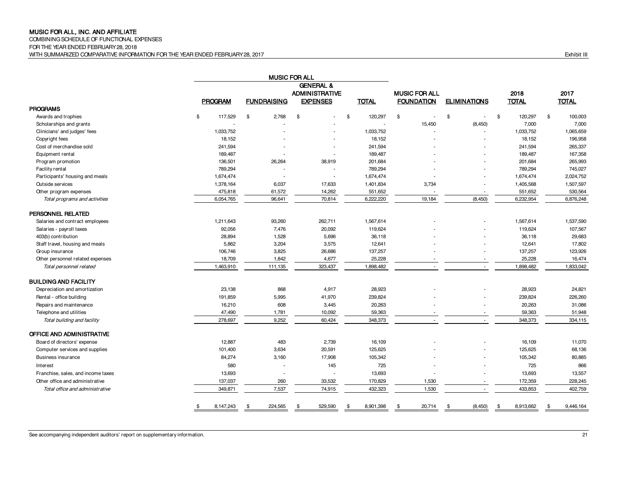COMBINING SCHEDULE OF FUNCTIONAL EXPENSES

FOR THE YEAR ENDED FEBRUARY 28, 2018

GENERAL & ADMINISTRATIVE **MUSIC FOR ALL 2018** 2017 PROGRAM FUNDRAISING EXPENSES TOTAL FOUNDATION ELIMINATIONS TOTAL TOTAL PROGRAMS Awards and trophies \$ 117,529 \$ 2,768 \$ \$ 120,297 \$ \$ \$ 120,297 \$ 100,003 Scholarships and grants - - - - 15,450 (8,450) 7,000 7,000 Clinicians' and judges' fees 1,033,752 1,033,752 1,033,752 1,033,752 1,033,752 1,033,752 1,033,752 1,055,659 Copyright fees 2.0 18,152 - 18,152 - 18,152 - 18,152 - 18,152 - 18,152 - 18,152 - 196,958 Cost of merchandise sold 241,594 - - 241,594 - - 241,594 265,337 Equipment rental 189,487 189,487 189,487 167,358 Program promotion 136,501 26,264 38,919 201,684 - - 201,684 265,993 Facility rental 789,294 - - 789,294 - - 789,294 745,027 Participants' housing and meals **1,674,474** 1,674,474 1,674,474 1,674,474 1,674,474 1,674,474 1,674,474 2,024,752 Outside services 1,378,164 6,037 17,633 1,401,834 3,734 - 1,405,568 1,507,597 Other program expenses 475,818 475,818 61,572 14,262 551,652 - - - - - - - - - - - - 551,652 530,564 Total programs and activities 6,054,765 6,054,765 96,641 70,814 6,222,220 19,184 (8,450) 6,232,954 6,876,248 PERSONNEL RELATED Salaries and contract employees 1,211,643 1,211,643 93,260 262,711 1,567,614 1,567,614 1,567,614 1,537,590 Salaries - payroll taxes 92,056 7,476 20,092 119,624 119,624 107,567 403(b) contribution 1,528 5,696 36,118 29,683 Staff travel, housing and meals **5,862** 5,862 3,204 3,575 12,641 - 12,641 12,641 12,641 12,641 17,802 Group insurance 2008 106,746 106,746 3,825 26,686 137,257 - - - - 137,257 123,926 Other personnel related expenses and the state of the state of the 18,709 1,842 4,677 25,228 25,228 25,228 25,228 25,228 16,474 Total personnel related 1,463,910 1,463,910 111,135 323,437 1,898,482 1,898,482 1,898,482 1,833,042 1,833,042 BUILDING AND FACILITY Depreciation and amortization 23,138 868 4,917 28,923 - - 28,923 24,821 Rental - office building 191,859 5,995 41,970 239,824 - - 239,824 226,260 Repairs and maintenance 16,210 16,210 16,210 608 3,445 20,263 16,263 20,263 20,263 31,086 Telephone and utilities 17,781 10,092 59,363 59,363 51,948 Total building and facility 278,697 278,697 9,252 60,424 348,373 - - - - - - - 348,373 334,115 OFFICE AND ADMINISTRATIVE Board of directors' expense 12,887 483 16,109 16,109 11,070 Computer services and supplies 101,400 3,634 20,591 125,625 - - 125,625 68,136 Business insurance 84,274 3,160 17,908 105,342 105,342 80,885 Interest 580 - 145 725 - - 725 866 Franchise, sales, and income taxes 13,693 13,693 13,693 13,693 13,693 13,693 13,693 13,693 13,557 Other office and administrative 137,037 137,037 137,037 260 33,532 170,829 1,530 1,530 - 172,359 228,245 Total office and administrative and the state of the 349,871 7,537 74,915 432,323 432,323 1,530 - 433,853 402,759 402,759 402,759 1,530 1,530 402,759 433,853 402,759 1,530 1,530 1,530 1,530 402,759 1,530 1,530 1,530 1,530 \$ 8,147,243 \$ 224,565 \$ 529,590 \$ 8,901,398 \$ 20,714 \$ (8,450) \$ 8,913,662 \$ 9,446,164 MUSIC FOR ALL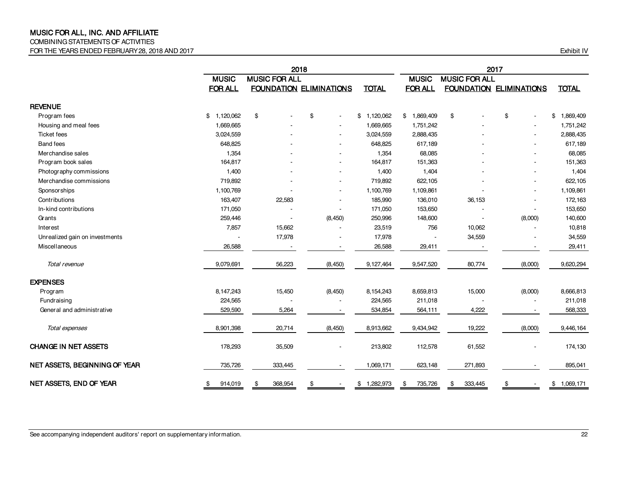### COMBINING STATEMENTS OF ACTIVITIES

FOR THE YEARS ENDED FEBRUARY 28, 2018 AND 2017 CHANGE TO THE STATE OF THE YEARS ENDED FEBRUARY 28, 2018 AND 2017

|                                |                 | 2018                 |                                |                 |                           |                      | 2017                           |                 |  |  |  |
|--------------------------------|-----------------|----------------------|--------------------------------|-----------------|---------------------------|----------------------|--------------------------------|-----------------|--|--|--|
|                                | <b>MUSIC</b>    | <b>MUSIC FOR ALL</b> |                                |                 | <b>MUSIC</b>              | <b>MUSIC FOR ALL</b> |                                |                 |  |  |  |
|                                | <b>FOR ALL</b>  |                      | <b>FOUNDATION ELIMINATIONS</b> | <b>TOTAL</b>    | <b>FOR ALL</b>            |                      | <b>FOUNDATION ELIMINATIONS</b> | <b>TOTAL</b>    |  |  |  |
| <b>REVENUE</b>                 |                 |                      |                                |                 |                           |                      |                                |                 |  |  |  |
| Program fees                   | \$<br>1,120,062 | \$                   | \$<br>$\blacksquare$           | 1,120,062<br>\$ | 1,869,409<br>$\mathbb{S}$ | \$                   | \$<br>$\blacksquare$           | \$<br>1,869,409 |  |  |  |
| Housing and meal fees          | 1,669,665       |                      |                                | 1,669,665       | 1,751,242                 |                      |                                | 1,751,242       |  |  |  |
| <b>Ticket fees</b>             | 3,024,559       |                      |                                | 3,024,559       | 2,888,435                 |                      |                                | 2,888,435       |  |  |  |
| <b>Band fees</b>               | 648,825         |                      |                                | 648,825         | 617,189                   |                      |                                | 617,189         |  |  |  |
| Merchandise sales              | 1,354           |                      |                                | 1,354           | 68,085                    |                      |                                | 68,085          |  |  |  |
| Program book sales             | 164,817         |                      |                                | 164,817         | 151,363                   |                      | $\blacksquare$                 | 151,363         |  |  |  |
| Photography commissions        | 1,400           |                      |                                | 1,400           | 1,404                     |                      |                                | 1,404           |  |  |  |
| Merchandise commissions        | 719,892         |                      |                                | 719,892         | 622,105                   |                      |                                | 622,105         |  |  |  |
| <b>Sponsorships</b>            | 1,100,769       |                      |                                | 1,100,769       | 1,109,861                 |                      |                                | 1,109,861       |  |  |  |
| Contributions                  | 163,407         | 22,583               |                                | 185,990         | 136,010                   | 36,153               |                                | 172,163         |  |  |  |
| In-kind contributions          | 171,050         |                      |                                | 171,050         | 153,650                   |                      |                                | 153,650         |  |  |  |
| Grants                         | 259,446         |                      | (8, 450)                       | 250,996         | 148,600                   |                      | (8,000)                        | 140,600         |  |  |  |
| Interest                       | 7,857           | 15,662               |                                | 23,519          | 756                       | 10,062               |                                | 10,818          |  |  |  |
| Unrealized gain on investments |                 | 17,978               |                                | 17,978          |                           | 34,559               |                                | 34,559          |  |  |  |
| Miscellaneous                  | 26,588          |                      |                                | 26,588          | 29,411                    |                      | $\overline{\phantom{a}}$       | 29,411          |  |  |  |
| Total revenue                  | 9,079,691       | 56,223               | (8, 450)                       | 9,127,464       | 9,547,520                 | 80,774               | (8,000)                        | 9,620,294       |  |  |  |
| <b>EXPENSES</b>                |                 |                      |                                |                 |                           |                      |                                |                 |  |  |  |
| Program                        | 8,147,243       | 15,450               | (8, 450)                       | 8,154,243       | 8,659,813                 | 15,000               | (8,000)                        | 8,666,813       |  |  |  |
| Fundraising                    | 224,565         |                      |                                | 224,565         | 211,018                   |                      |                                | 211,018         |  |  |  |
| General and administrative     | 529,590         | 5,264                |                                | 534,854         | 564,111                   | 4,222                |                                | 568,333         |  |  |  |
| Total expenses                 | 8,901,398       | 20,714               | (8, 450)                       | 8,913,662       | 9,434,942                 | 19,222               | (8,000)                        | 9,446,164       |  |  |  |
| <b>CHANGE IN NET ASSETS</b>    | 178,293         | 35,509               |                                | 213,802         | 112,578                   | 61,552               | $\blacksquare$                 | 174,130         |  |  |  |
| NET ASSETS, BEGINNING OF YEAR  | 735,726         | 333,445              |                                | 1,069,171       | 623,148                   | 271,893              |                                | 895,041         |  |  |  |
| NET ASSETS, END OF YEAR        | \$<br>914,019   | \$<br>368,954        | \$                             | \$1,282,973     | 735,726<br>\$             | 333,445<br>\$        | \$                             | 1,069,171<br>\$ |  |  |  |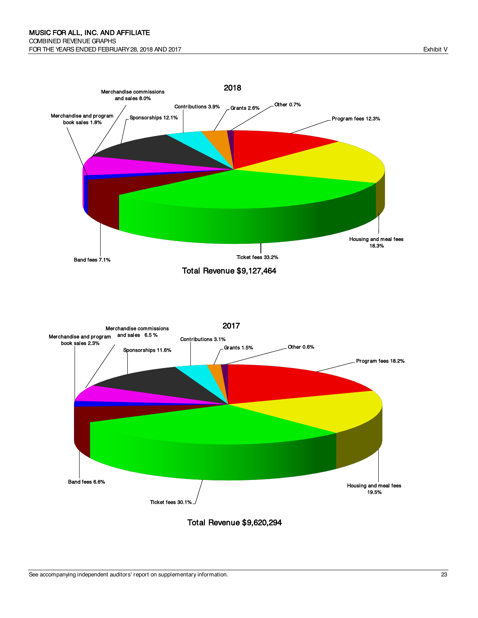